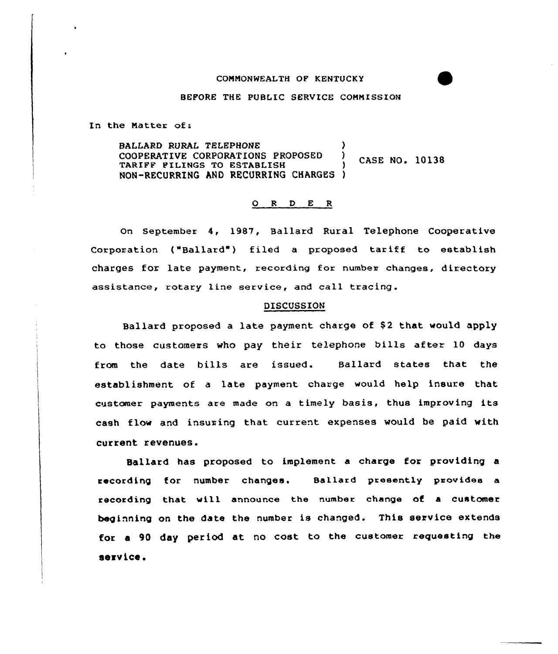## COMMONWEALTH OF KENTUCKY

## BEFORE THE PUBLIC SERVICE COMMISSION

In the Matter of:

BALLARD RURAL TELEPHONE (2008) COOPERATIVE CORPORATIONS PROPOSED ) CASE NO. 10138 TARIFF FILINGS TO ESTABLISH ) NON-RECURRING AND RECURRING CHARGES }

## 0 <sup>R</sup> <sup>D</sup> E <sup>R</sup>

on september 4, 1987, Ballard Rural Telephone Cooperative Corporation ("Ballard") filed a proposed tariff to establish charges for late payment, recording for number changes, directory assistance, rotary line service, and call tracing.

## DISCUSSION

Ballard proposed a late payment charge of \$2 that would apply to those customers who pay their telephone bills after 10 days from the date bills are issued. Ballard states that the establishment of a late payment charge would help insure that customer payments are made on a timely basis, thus improving its cash flow and insuring that current expenses would be paid with current revenues.

Ballard has proposed to implement a charge for providing a recording for number changes. Ballard presently provides a recording that will announce the number change of a customer beginning on the date the number is changed. This service extends for a 90 day period at no cost to the customer requesting the service.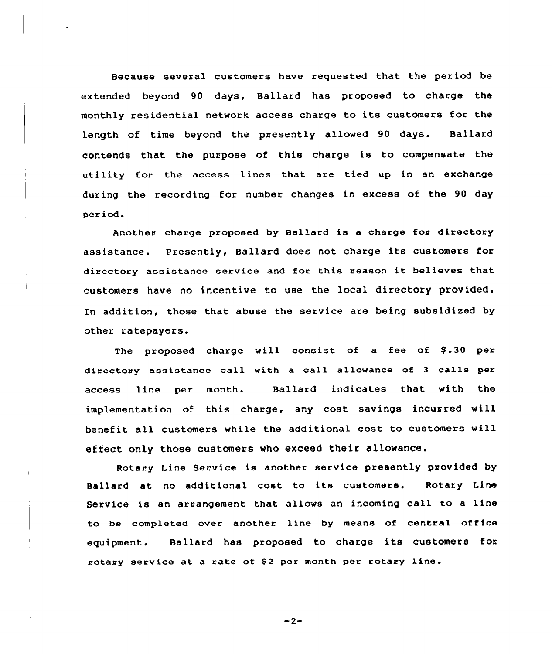Because several customers have requested that the period be extended beyond 90 days, Ballard has proposed to charge the monthly residential network access charge to its customers for the length of time beyond the presently allowed 90 days. Ballard contends that the purpose of this charge is to compensate the utility for the access lines that are tied up in an exchange during the recording for number changes in excess of the 90 day peri od.

Another charge proposed by Ballard is a charge fox directory assistance. Presently, Ballard does not charge its customers for directory assistance service and for this reason it believes that customers have no incentive to use the local directory provided. In addition, those that abuse the service are being subsidized by other ratepayers.

 $\overline{\phantom{a}}$ 

The proposed charge will consist of a fee of  $$.30$  per directouy assistance call with a call allowance of <sup>3</sup> calls per access line per month. Ballard indicates that with the implementation of this charge, any cost savings incurred will benefit all customers while the additional cost to customers will effect only those customers who exceed their allowance.

Rotary Line Service is another service presently provided by Ballard at no additional cost to its customers. Rotary Line Service is an arrangement that allows an incoming call to <sup>a</sup> line to be completed over another line by means of central office equipment. Ballard has proposed to charge its customers for rotary service at a rate of \$2 per month per rotary line.

 $-2-$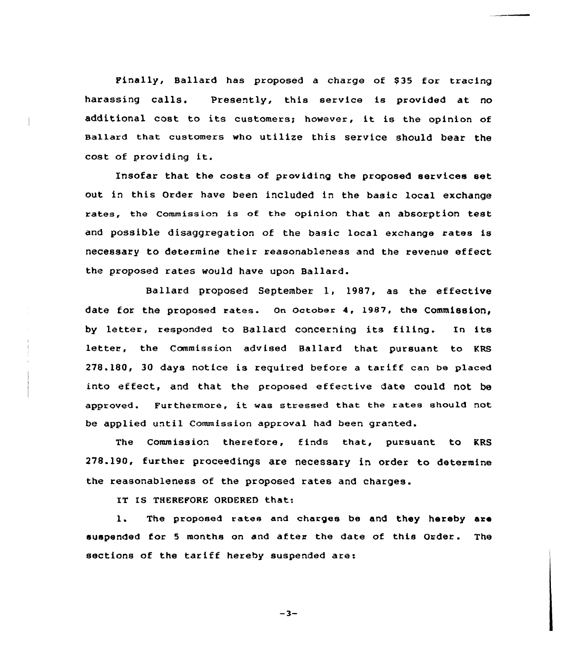Finally, Ballard has proposed a charge of \$35 for tracing harassing calls. presently, this service is provided at no additional cost to its customers; however, it is the opinion of sallard that customers who utilize this service should bear the cost of providing it.

Insofar that the costs of providing the proposed services set out in this Order have been included in the basic local exchange rates, the commission is of the opinion that an absorption test and possible disaggregation of the basic local exchange xates is necessary to determine their reasonableness and the revenue effect the pxoposed rates would have upon Ballard.

Ballard proposed September 1, 1987, as the effective date for the proposed rates. On October 4, 1987, the Commission, by letter, responded to Ballard concerning its filing. In its letter, the Commission advised Ballard that pursuant to KRS 278.180, 30 days notice is required befoxe <sup>a</sup> tariff can be placed into effect, and that the proposed effective date could not be approved. Furthermore, it was stressed that the rates should not be applied until Commission approval had been granted.

The Commission therefore, finds that, pursuant to KRS 278.190, fuxther proceedings are necessary in order to determine the reasonableness of the proposed rates and charges.

IT IS THEREFORE ORDERED that:

l. The proposed rates and charges be and they hereby axe suspended for <sup>5</sup> months on and after the date of this Order. The sections of the tariff hereby suspended are:

 $-3-$